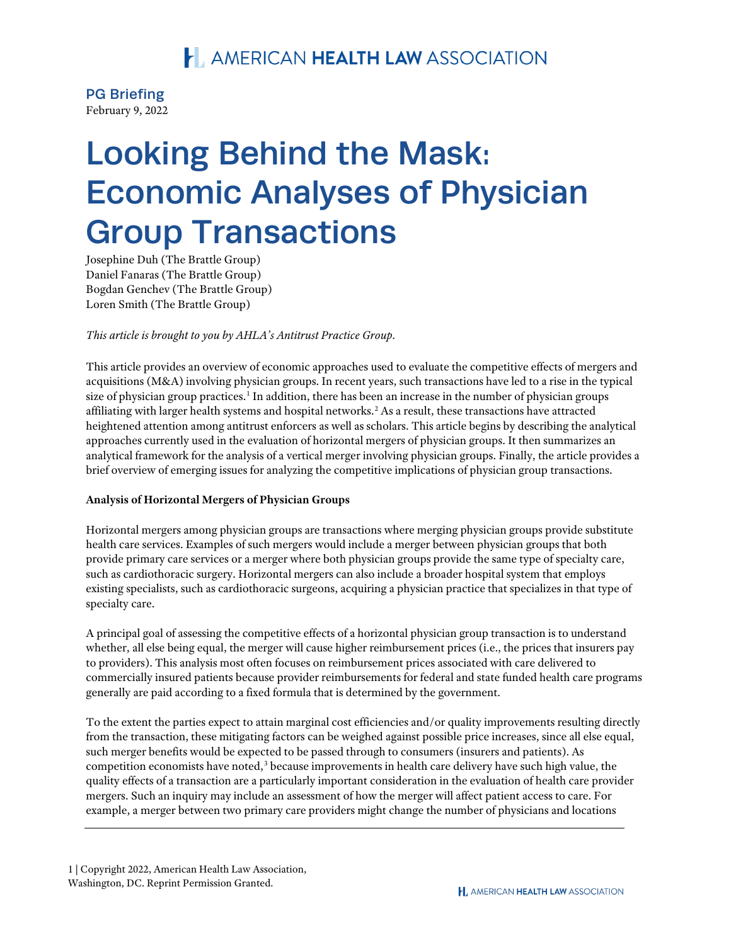#### PG Briefing February 9, 2022

# Looking Behind the Mask: Economic Analyses of Physician Group Transactions

Josephine Duh (The Brattle Group) Daniel Fanaras (The Brattle Group) Bogdan Genchev (The Brattle Group) Loren Smith (The Brattle Group)

*This article is brought to you by AHLA's Antitrust Practice Group.*

This article provides an overview of economic approaches used to evaluate the competitive effects of mergers and acquisitions (M&A) involving physician groups. In recent years, such transactions have led to a rise in the typical size of physician group practices.<sup>[1](#page-7-0)</sup> In addition, there has been an increase in the number of physician groups affiliating with larger health systems and hospital networks.[2](#page-7-1) As a result, these transactions have attracted heightened attention among antitrust enforcers as well as scholars. This article begins by describing the analytical approaches currently used in the evaluation of horizontal mergers of physician groups. It then summarizes an analytical framework for the analysis of a vertical merger involving physician groups. Finally, the article provides a brief overview of emerging issues for analyzing the competitive implications of physician group transactions.

#### **Analysis of Horizontal Mergers of Physician Groups**

Horizontal mergers among physician groups are transactions where merging physician groups provide substitute health care services. Examples of such mergers would include a merger between physician groups that both provide primary care services or a merger where both physician groups provide the same type of specialty care, such as cardiothoracic surgery. Horizontal mergers can also include a broader hospital system that employs existing specialists, such as cardiothoracic surgeons, acquiring a physician practice that specializes in that type of specialty care.

A principal goal of assessing the competitive effects of a horizontal physician group transaction is to understand whether, all else being equal, the merger will cause higher reimbursement prices (i.e., the prices that insurers pay to providers). This analysis most often focuses on reimbursement prices associated with care delivered to commercially insured patients because provider reimbursements for federal and state funded health care programs generally are paid according to a fixed formula that is determined by the government.

To the extent the parties expect to attain marginal cost efficiencies and/or quality improvements resulting directly from the transaction, these mitigating factors can be weighed against possible price increases, since all else equal, such merger benefits would be expected to be passed through to consumers (insurers and patients). As competition economists have noted,<sup>[3](#page-7-2)</sup> because improvements in health care delivery have such high value, the quality effects of a transaction are a particularly important consideration in the evaluation of health care provider mergers. Such an inquiry may include an assessment of how the merger will affect patient access to care. For example, a merger between two primary care providers might change the number of physicians and locations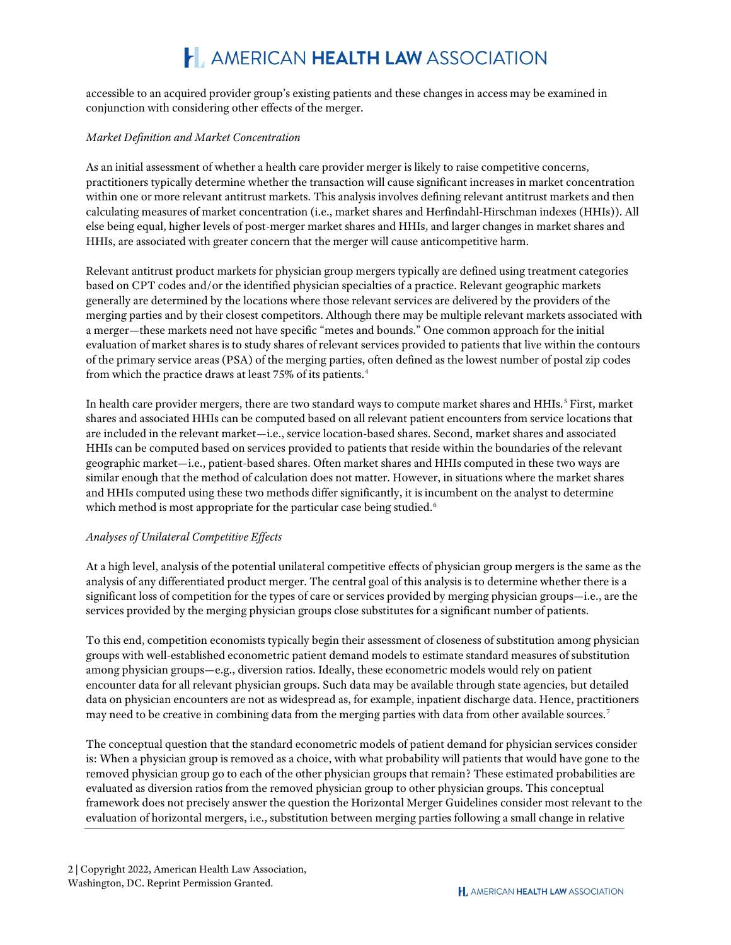accessible to an acquired provider group's existing patients and these changes in access may be examined in conjunction with considering other effects of the merger.

#### *Market Definition and Market Concentration*

As an initial assessment of whether a health care provider merger is likely to raise competitive concerns, practitioners typically determine whether the transaction will cause significant increases in market concentration within one or more relevant antitrust markets. This analysis involves defining relevant antitrust markets and then calculating measures of market concentration (i.e., market shares and Herfindahl-Hirschman indexes (HHIs)). All else being equal, higher levels of post-merger market shares and HHIs, and larger changes in market shares and HHIs, are associated with greater concern that the merger will cause anticompetitive harm.

Relevant antitrust product markets for physician group mergers typically are defined using treatment categories based on CPT codes and/or the identified physician specialties of a practice. Relevant geographic markets generally are determined by the locations where those relevant services are delivered by the providers of the merging parties and by their closest competitors. Although there may be multiple relevant markets associated with a merger—these markets need not have specific "metes and bounds." One common approach for the initial evaluation of market shares is to study shares of relevant services provided to patients that live within the contours of the primary service areas (PSA) of the merging parties, often defined as the lowest number of postal zip codes from which the practice draws at least 75% of its patients.<sup>[4](#page-7-3)</sup>

In health care provider mergers, there are two standard ways to compute market shares and HHIs.<sup>[5](#page-7-4)</sup> First, market shares and associated HHIs can be computed based on all relevant patient encounters from service locations that are included in the relevant market—i.e., service location-based shares. Second, market shares and associated HHIs can be computed based on services provided to patients that reside within the boundaries of the relevant geographic market—i.e., patient-based shares. Often market shares and HHIs computed in these two ways are similar enough that the method of calculation does not matter. However, in situations where the market shares and HHIs computed using these two methods differ significantly, it is incumbent on the analyst to determine which method is most appropriate for the particular case being studied.<sup>[6](#page-7-5)</sup>

#### *Analyses of Unilateral Competitive Effects*

At a high level, analysis of the potential unilateral competitive effects of physician group mergers is the same as the analysis of any differentiated product merger. The central goal of this analysis is to determine whether there is a significant loss of competition for the types of care or services provided by merging physician groups—i.e., are the services provided by the merging physician groups close substitutes for a significant number of patients.

To this end, competition economists typically begin their assessment of closeness of substitution among physician groups with well-established econometric patient demand models to estimate standard measures of substitution among physician groups—e.g., diversion ratios. Ideally, these econometric models would rely on patient encounter data for all relevant physician groups. Such data may be available through state agencies, but detailed data on physician encounters are not as widespread as, for example, inpatient discharge data. Hence, practitioners may need to be creative in combining data from the merging parties with data from other available sources.[7](#page-7-6)

The conceptual question that the standard econometric models of patient demand for physician services consider is: When a physician group is removed as a choice, with what probability will patients that would have gone to the removed physician group go to each of the other physician groups that remain? These estimated probabilities are evaluated as diversion ratios from the removed physician group to other physician groups. This conceptual framework does not precisely answer the question the Horizontal Merger Guidelines consider most relevant to the evaluation of horizontal mergers, i.e., substitution between merging parties following a small change in relative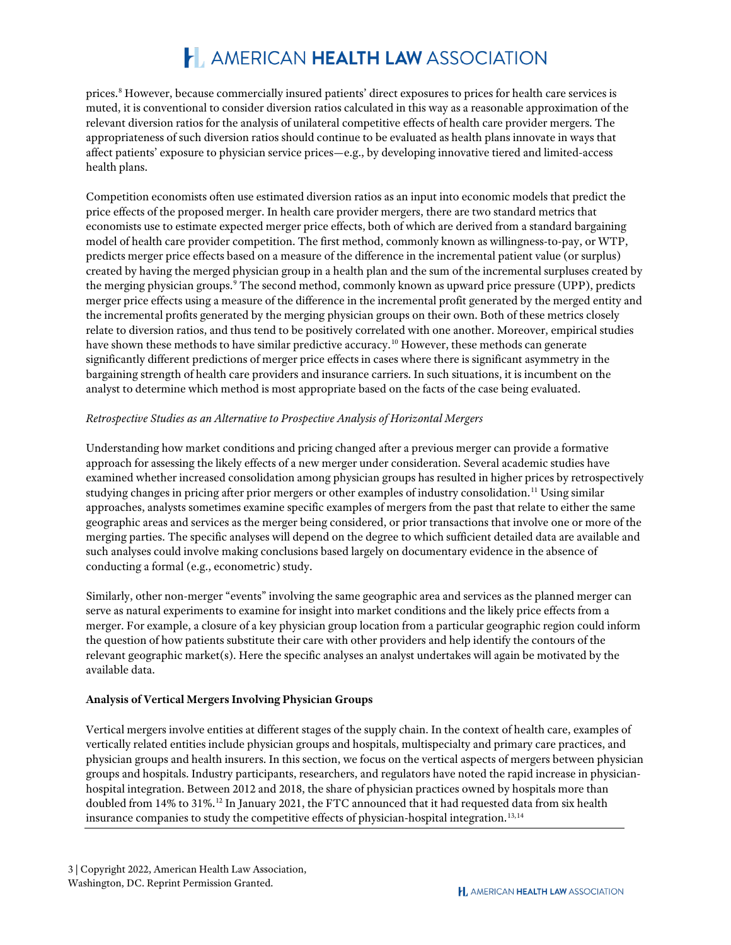prices.[8](#page-7-7) However, because commercially insured patients' direct exposures to prices for health care services is muted, it is conventional to consider diversion ratios calculated in this way as a reasonable approximation of the relevant diversion ratios for the analysis of unilateral competitive effects of health care provider mergers. The appropriateness of such diversion ratios should continue to be evaluated as health plans innovate in ways that affect patients' exposure to physician service prices—e.g., by developing innovative tiered and limited-access health plans.

Competition economists often use estimated diversion ratios as an input into economic models that predict the price effects of the proposed merger. In health care provider mergers, there are two standard metrics that economists use to estimate expected merger price effects, both of which are derived from a standard bargaining model of health care provider competition. The first method, commonly known as willingness-to-pay, or WTP, predicts merger price effects based on a measure of the difference in the incremental patient value (or surplus) created by having the merged physician group in a health plan and the sum of the incremental surpluses created by the merging physician groups.[9](#page-7-8) The second method, commonly known as upward price pressure (UPP), predicts merger price effects using a measure of the difference in the incremental profit generated by the merged entity and the incremental profits generated by the merging physician groups on their own. Both of these metrics closely relate to diversion ratios, and thus tend to be positively correlated with one another. Moreover, empirical studies have shown these methods to have similar predictive accuracy.<sup>[10](#page-7-9)</sup> However, these methods can generate significantly different predictions of merger price effects in cases where there is significant asymmetry in the bargaining strength of health care providers and insurance carriers. In such situations, it is incumbent on the analyst to determine which method is most appropriate based on the facts of the case being evaluated.

#### *Retrospective Studies as an Alternative to Prospective Analysis of Horizontal Mergers*

Understanding how market conditions and pricing changed after a previous merger can provide a formative approach for assessing the likely effects of a new merger under consideration. Several academic studies have examined whether increased consolidation among physician groups has resulted in higher prices by retrospectively studying changes in pricing after prior mergers or other examples of industry consolidation.<sup>[11](#page-7-10)</sup> Using similar approaches, analysts sometimes examine specific examples of mergers from the past that relate to either the same geographic areas and services as the merger being considered, or prior transactions that involve one or more of the merging parties. The specific analyses will depend on the degree to which sufficient detailed data are available and such analyses could involve making conclusions based largely on documentary evidence in the absence of conducting a formal (e.g., econometric) study.

Similarly, other non-merger "events" involving the same geographic area and services as the planned merger can serve as natural experiments to examine for insight into market conditions and the likely price effects from a merger. For example, a closure of a key physician group location from a particular geographic region could inform the question of how patients substitute their care with other providers and help identify the contours of the relevant geographic market(s). Here the specific analyses an analyst undertakes will again be motivated by the available data.

#### **Analysis of Vertical Mergers Involving Physician Groups**

Vertical mergers involve entities at different stages of the supply chain. In the context of health care, examples of vertically related entities include physician groups and hospitals, multispecialty and primary care practices, and physician groups and health insurers. In this section, we focus on the vertical aspects of mergers between physician groups and hospitals. Industry participants, researchers, and regulators have noted the rapid increase in physicianhospital integration. Between 2012 and 2018, the share of physician practices owned by hospitals more than doubled from 14% to 31%.<sup>[12](#page-7-11)</sup> In January 2021, the FTC announced that it had requested data from six health insurance companies to study the competitive effects of physician-hospital integration.<sup>[13,](#page-7-12)[14](#page-8-0)</sup>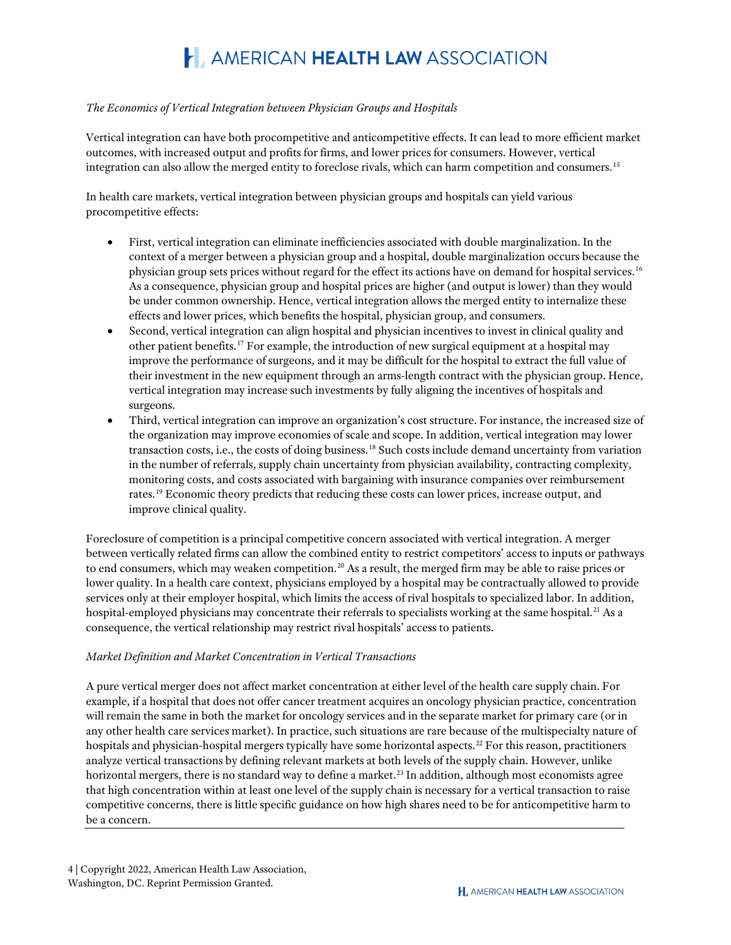#### *The Economics of Vertical Integration between Physician Groups and Hospitals*

Vertical integration can have both procompetitive and anticompetitive effects. It can lead to more efficient market outcomes, with increased output and profits for firms, and lower prices for consumers. However, vertical integration can also allow the merged entity to foreclose rivals, which can harm competition and consumers.[15](#page-8-1)

In health care markets, vertical integration between physician groups and hospitals can yield various procompetitive effects:

- First, vertical integration can eliminate inefficiencies associated with double marginalization. In the context of a merger between a physician group and a hospital, double marginalization occurs because the physician group sets prices without regard for the effect its actions have on demand for hospital services.[16](#page-8-2) As a consequence, physician group and hospital prices are higher (and output is lower) than they would be under common ownership. Hence, vertical integration allows the merged entity to internalize these effects and lower prices, which benefits the hospital, physician group, and consumers.
- Second, vertical integration can align hospital and physician incentives to invest in clinical quality and other patient benefits.<sup>[17](#page-8-3)</sup> For example, the introduction of new surgical equipment at a hospital may improve the performance of surgeons, and it may be difficult for the hospital to extract the full value of their investment in the new equipment through an arms-length contract with the physician group. Hence, vertical integration may increase such investments by fully aligning the incentives of hospitals and surgeons.
- Third, vertical integration can improve an organization's cost structure. For instance, the increased size of the organization may improve economies of scale and scope. In addition, vertical integration may lower transaction costs, i.e., the costs of doing business.[18](#page-8-4) Such costs include demand uncertainty from variation in the number of referrals, supply chain uncertainty from physician availability, contracting complexity, monitoring costs, and costs associated with bargaining with insurance companies over reimbursement rates.<sup>[19](#page-8-5)</sup> Economic theory predicts that reducing these costs can lower prices, increase output, and improve clinical quality.

Foreclosure of competition is a principal competitive concern associated with vertical integration. A merger between vertically related firms can allow the combined entity to restrict competitors' access to inputs or pathways to end consumers, which may weaken competition.<sup>[20](#page-8-6)</sup> As a result, the merged firm may be able to raise prices or lower quality. In a health care context, physicians employed by a hospital may be contractually allowed to provide services only at their employer hospital, which limits the access of rival hospitals to specialized labor. In addition, hospital-employed physicians may concentrate their referrals to specialists working at the same hospital.<sup>[21](#page-8-7)</sup> As a consequence, the vertical relationship may restrict rival hospitals' access to patients.

#### *Market Definition and Market Concentration in Vertical Transactions*

A pure vertical merger does not affect market concentration at either level of the health care supply chain. For example, if a hospital that does not offer cancer treatment acquires an oncology physician practice, concentration will remain the same in both the market for oncology services and in the separate market for primary care (or in any other health care services market). In practice, such situations are rare because of the multispecialty nature of hospitals and physician-hospital mergers typically have some horizontal aspects.<sup>[22](#page-8-8)</sup> For this reason, practitioners analyze vertical transactions by defining relevant markets at both levels of the supply chain. However, unlike horizontal mergers, there is no standard way to define a market.<sup>[23](#page-8-9)</sup> In addition, although most economists agree that high concentration within at least one level of the supply chain is necessary for a vertical transaction to raise competitive concerns, there is little specific guidance on how high shares need to be for anticompetitive harm to be a concern.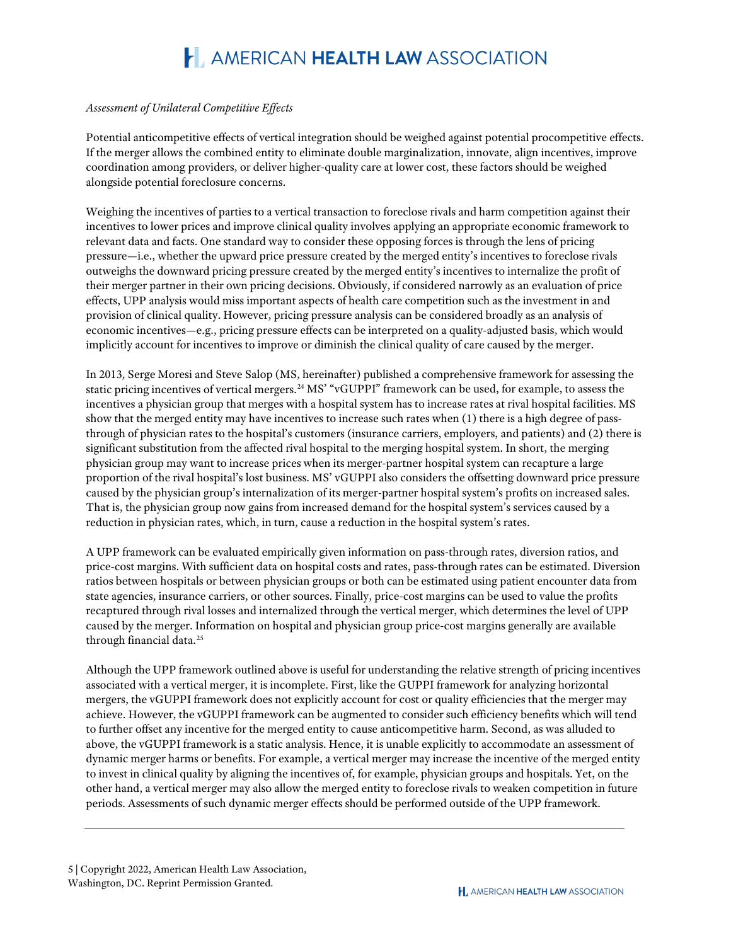#### *Assessment of Unilateral Competitive Effects*

Potential anticompetitive effects of vertical integration should be weighed against potential procompetitive effects. If the merger allows the combined entity to eliminate double marginalization, innovate, align incentives, improve coordination among providers, or deliver higher-quality care at lower cost, these factors should be weighed alongside potential foreclosure concerns.

Weighing the incentives of parties to a vertical transaction to foreclose rivals and harm competition against their incentives to lower prices and improve clinical quality involves applying an appropriate economic framework to relevant data and facts. One standard way to consider these opposing forces is through the lens of pricing pressure—i.e., whether the upward price pressure created by the merged entity's incentives to foreclose rivals outweighs the downward pricing pressure created by the merged entity's incentives to internalize the profit of their merger partner in their own pricing decisions. Obviously, if considered narrowly as an evaluation of price effects, UPP analysis would miss important aspects of health care competition such as the investment in and provision of clinical quality. However, pricing pressure analysis can be considered broadly as an analysis of economic incentives—e.g., pricing pressure effects can be interpreted on a quality-adjusted basis, which would implicitly account for incentives to improve or diminish the clinical quality of care caused by the merger.

In 2013, Serge Moresi and Steve Salop (MS, hereinafter) published a comprehensive framework for assessing the static pricing incentives of vertical mergers.<sup>[24](#page-8-10)</sup> MS' "vGUPPI" framework can be used, for example, to assess the incentives a physician group that merges with a hospital system has to increase rates at rival hospital facilities. MS show that the merged entity may have incentives to increase such rates when (1) there is a high degree of passthrough of physician rates to the hospital's customers (insurance carriers, employers, and patients) and (2) there is significant substitution from the affected rival hospital to the merging hospital system. In short, the merging physician group may want to increase prices when its merger-partner hospital system can recapture a large proportion of the rival hospital's lost business. MS' vGUPPI also considers the offsetting downward price pressure caused by the physician group's internalization of its merger-partner hospital system's profits on increased sales. That is, the physician group now gains from increased demand for the hospital system's services caused by a reduction in physician rates, which, in turn, cause a reduction in the hospital system's rates.

A UPP framework can be evaluated empirically given information on pass-through rates, diversion ratios, and price-cost margins. With sufficient data on hospital costs and rates, pass-through rates can be estimated. Diversion ratios between hospitals or between physician groups or both can be estimated using patient encounter data from state agencies, insurance carriers, or other sources. Finally, price-cost margins can be used to value the profits recaptured through rival losses and internalized through the vertical merger, which determines the level of UPP caused by the merger. Information on hospital and physician group price-cost margins generally are available through financial data.<sup>[25](#page-8-11)</sup>

Although the UPP framework outlined above is useful for understanding the relative strength of pricing incentives associated with a vertical merger, it is incomplete. First, like the GUPPI framework for analyzing horizontal mergers, the vGUPPI framework does not explicitly account for cost or quality efficiencies that the merger may achieve. However, the vGUPPI framework can be augmented to consider such efficiency benefits which will tend to further offset any incentive for the merged entity to cause anticompetitive harm. Second, as was alluded to above, the vGUPPI framework is a static analysis. Hence, it is unable explicitly to accommodate an assessment of dynamic merger harms or benefits. For example, a vertical merger may increase the incentive of the merged entity to invest in clinical quality by aligning the incentives of, for example, physician groups and hospitals. Yet, on the other hand, a vertical merger may also allow the merged entity to foreclose rivals to weaken competition in future periods. Assessments of such dynamic merger effects should be performed outside of the UPP framework.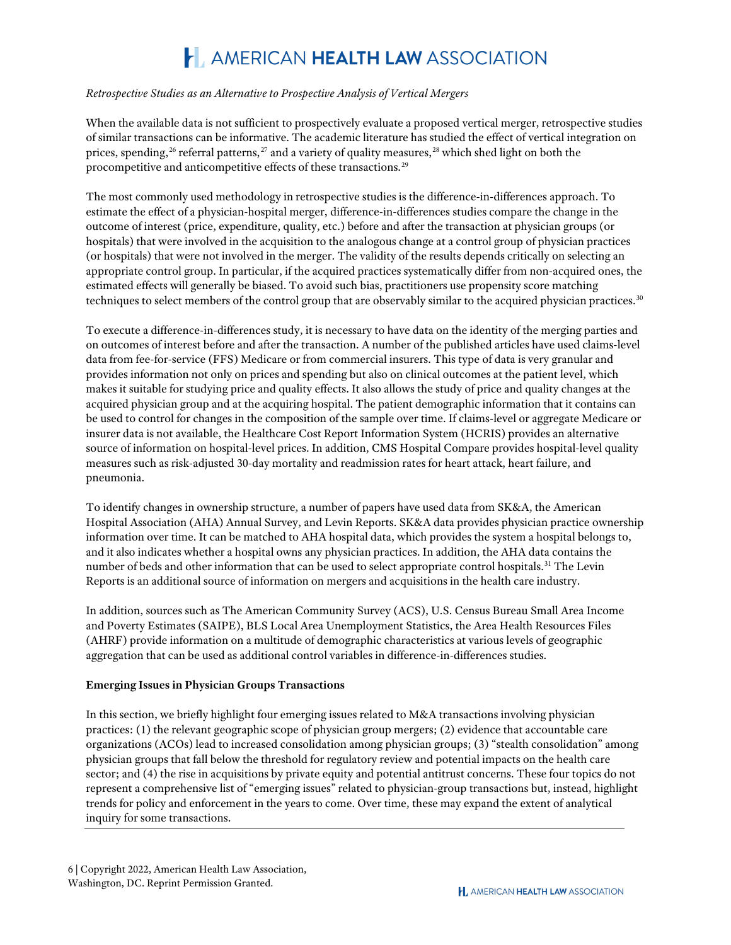#### *Retrospective Studies as an Alternative to Prospective Analysis of Vertical Mergers*

When the available data is not sufficient to prospectively evaluate a proposed vertical merger, retrospective studies of similar transactions can be informative. The academic literature has studied the effect of vertical integration on prices, spending,<sup>[26](#page-8-12)</sup> referral patterns,<sup>[27](#page-8-13)</sup> and a variety of quality measures,<sup>[28](#page-8-14)</sup> which shed light on both the procompetitive and anticompetitive effects of these transactions.[29](#page-9-0)

The most commonly used methodology in retrospective studies is the difference-in-differences approach. To estimate the effect of a physician-hospital merger, difference-in-differences studies compare the change in the outcome of interest (price, expenditure, quality, etc.) before and after the transaction at physician groups (or hospitals) that were involved in the acquisition to the analogous change at a control group of physician practices (or hospitals) that were not involved in the merger. The validity of the results depends critically on selecting an appropriate control group. In particular, if the acquired practices systematically differ from non-acquired ones, the estimated effects will generally be biased. To avoid such bias, practitioners use propensity score matching techniques to select members of the control group that are observably similar to the acquired physician practices.<sup>[30](#page-9-1)</sup>

To execute a difference-in-differences study, it is necessary to have data on the identity of the merging parties and on outcomes of interest before and after the transaction. A number of the published articles have used claims-level data from fee-for-service (FFS) Medicare or from commercial insurers. This type of data is very granular and provides information not only on prices and spending but also on clinical outcomes at the patient level, which makes it suitable for studying price and quality effects. It also allows the study of price and quality changes at the acquired physician group and at the acquiring hospital. The patient demographic information that it contains can be used to control for changes in the composition of the sample over time. If claims-level or aggregate Medicare or insurer data is not available, the Healthcare Cost Report Information System (HCRIS) provides an alternative source of information on hospital-level prices. In addition, CMS Hospital Compare provides hospital-level quality measures such as risk-adjusted 30-day mortality and readmission rates for heart attack, heart failure, and pneumonia.

To identify changes in ownership structure, a number of papers have used data from SK&A, the American Hospital Association (AHA) Annual Survey, and Levin Reports. SK&A data provides physician practice ownership information over time. It can be matched to AHA hospital data, which provides the system a hospital belongs to, and it also indicates whether a hospital owns any physician practices. In addition, the AHA data contains the number of beds and other information that can be used to select appropriate control hospitals.[31](#page-9-2) The Levin Reports is an additional source of information on mergers and acquisitions in the health care industry.

In addition, sources such as The American Community Survey (ACS), U.S. Census Bureau Small Area Income and Poverty Estimates (SAIPE), BLS Local Area Unemployment Statistics, the Area Health Resources Files (AHRF) provide information on a multitude of demographic characteristics at various levels of geographic aggregation that can be used as additional control variables in difference-in-differences studies.

#### **Emerging Issues in Physician Groups Transactions**

In this section, we briefly highlight four emerging issues related to M&A transactions involving physician practices: (1) the relevant geographic scope of physician group mergers; (2) evidence that accountable care organizations (ACOs) lead to increased consolidation among physician groups; (3) "stealth consolidation" among physician groups that fall below the threshold for regulatory review and potential impacts on the health care sector; and (4) the rise in acquisitions by private equity and potential antitrust concerns. These four topics do not represent a comprehensive list of "emerging issues" related to physician-group transactions but, instead, highlight trends for policy and enforcement in the years to come. Over time, these may expand the extent of analytical inquiry for some transactions.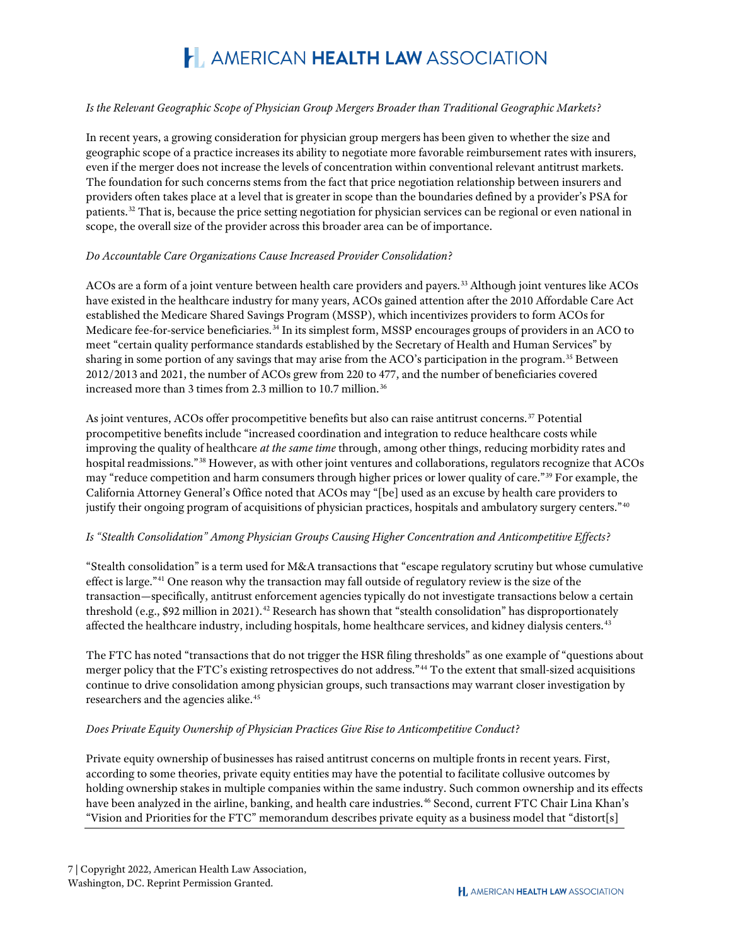#### *Is the Relevant Geographic Scope of Physician Group Mergers Broader than Traditional Geographic Markets?*

In recent years, a growing consideration for physician group mergers has been given to whether the size and geographic scope of a practice increases its ability to negotiate more favorable reimbursement rates with insurers, even if the merger does not increase the levels of concentration within conventional relevant antitrust markets. The foundation for such concerns stems from the fact that price negotiation relationship between insurers and providers often takes place at a level that is greater in scope than the boundaries defined by a provider's PSA for patients.[32](#page-9-3) That is, because the price setting negotiation for physician services can be regional or even national in scope, the overall size of the provider across this broader area can be of importance.

#### *Do Accountable Care Organizations Cause Increased Provider Consolidation?*

ACOs are a form of a joint venture between health care providers and payers.[33](#page-9-4) Although joint ventures like ACOs have existed in the healthcare industry for many years, ACOs gained attention after the 2010 Affordable Care Act established the Medicare Shared Savings Program (MSSP), which incentivizes providers to form ACOs for Medicare fee-for-service beneficiaries.[34](#page-9-5) In its simplest form, MSSP encourages groups of providers in an ACO to meet "certain quality performance standards established by the Secretary of Health and Human Services" by sharing in some portion of any savings that may arise from the ACO's participation in the program.[35](#page-9-6) Between 2012/2013 and 2021, the number of ACOs grew from 220 to 477, and the number of beneficiaries covered increased more than 3 times from 2.3 million to 10.7 million.<sup>[36](#page-9-7)</sup>

As joint ventures, ACOs offer procompetitive benefits but also can raise antitrust concerns.<sup>[37](#page-9-8)</sup> Potential procompetitive benefits include "increased coordination and integration to reduce healthcare costs while improving the quality of healthcare *at the same time* through, among other things, reducing morbidity rates and hospital readmissions."[38](#page-9-9) However, as with other joint ventures and collaborations, regulators recognize that ACOs may "reduce competition and harm consumers through higher prices or lower quality of care."[39](#page-9-10) For example, the California Attorney General's Office noted that ACOs may "[be] used as an excuse by health care providers to justify their ongoing program of acquisitions of physician practices, hospitals and ambulatory surgery centers."[40](#page-9-11)

#### *Is "Stealth Consolidation" Among Physician Groups Causing Higher Concentration and Anticompetitive Effects?*

"Stealth consolidation" is a term used for M&A transactions that "escape regulatory scrutiny but whose cumulative effect is large."[41](#page-9-12) One reason why the transaction may fall outside of regulatory review is the size of the transaction—specifically, antitrust enforcement agencies typically do not investigate transactions below a certain threshold (e.g., \$92 million in 2021).<sup>[42](#page-9-13)</sup> Research has shown that "stealth consolidation" has disproportionately affected the healthcare industry, including hospitals, home healthcare services, and kidney dialysis centers.<sup>[43](#page-9-14)</sup>

The FTC has noted "transactions that do not trigger the HSR filing thresholds" as one example of "questions about merger policy that the FTC's existing retrospectives do not address."[44](#page-9-15) To the extent that small-sized acquisitions continue to drive consolidation among physician groups, such transactions may warrant closer investigation by researchers and the agencies alike.<sup>[45](#page-9-16)</sup>

#### *Does Private Equity Ownership of Physician Practices Give Rise to Anticompetitive Conduct?*

Private equity ownership of businesses has raised antitrust concerns on multiple fronts in recent years. First, according to some theories, private equity entities may have the potential to facilitate collusive outcomes by holding ownership stakes in multiple companies within the same industry. Such common ownership and its effects have been analyzed in the airline, banking, and health care industries.<sup>[46](#page-9-17)</sup> Second, current FTC Chair Lina Khan's "Vision and Priorities for the FTC" memorandum describes private equity as a business model that "distort[s]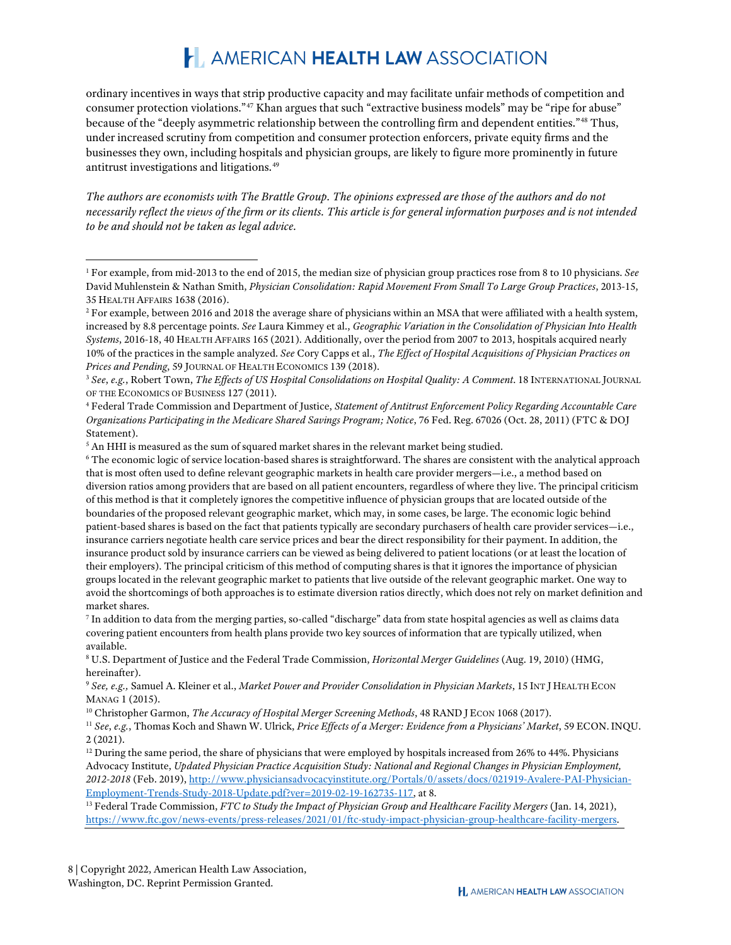ordinary incentives in ways that strip productive capacity and may facilitate unfair methods of competition and consumer protection violations."[47](#page-9-18) Khan argues that such "extractive business models" may be "ripe for abuse" because of the "deeply asymmetric relationship between the controlling firm and dependent entities."[48](#page-9-19) Thus, under increased scrutiny from competition and consumer protection enforcers, private equity firms and the businesses they own, including hospitals and physician groups, are likely to figure more prominently in future antitrust investigations and litigations.[49](#page-10-0)

*The authors are economists with The Brattle Group. The opinions expressed are those of the authors and do not necessarily reflect the views of the firm or its clients. This article is for general information purposes and is not intended to be and should not be taken as legal advice.*

<span id="page-7-7"></span><sup>8</sup> U.S. Department of Justice and the Federal Trade Commission, *Horizontal Merger Guidelines* (Aug. 19, 2010) (HMG, hereinafter).

<span id="page-7-12"></span><sup>13</sup> Federal Trade Commission, *FTC to Study the Impact of Physician Group and Healthcare Facility Mergers* (Jan. 14, 2021), [https://www.ftc.gov/news-events/press-releases/2021/01/ftc-study-impact-physician-group-healthcare-facility-mergers.](https://www.ftc.gov/news-events/press-releases/2021/01/ftc-study-impact-physician-group-healthcare-facility-mergers)

<span id="page-7-0"></span><sup>1</sup> For example, from mid-2013 to the end of 2015, the median size of physician group practices rose from 8 to 10 physicians. *See* David Muhlenstein & Nathan Smith, *Physician Consolidation: Rapid Movement From Small To Large Group Practices*, 2013-15, 35 HEALTH AFFAIRS 1638 (2016).

<span id="page-7-1"></span><sup>&</sup>lt;sup>2</sup> For example, between 2016 and 2018 the average share of physicians within an MSA that were affiliated with a health system, increased by 8.8 percentage points. *See* Laura Kimmey et al., *Geographic Variation in the Consolidation of Physician Into Health Systems*, 2016-18, 40 HEALTH AFFAIRS 165 (2021). Additionally, over the period from 2007 to 2013, hospitals acquired nearly 10% of the practices in the sample analyzed. *See* Cory Capps et al., *The Effect of Hospital Acquisitions of Physician Practices on* 

<span id="page-7-2"></span>*Prices and Pending*, 59 JOURNAL OF HEALTH ECONOMICS 139 (2018).<br><sup>3</sup> *See, e.g., Robert Town, The Effects of US Hospital Consolidations on Hospital Quality: A Comment. 18 INTERNATIONAL JOURNAL* OF THE ECONOMICS OF BUSINESS 127 (2011).<br><sup>4</sup> Federal Trade Commission and Department of Justice, *Statement of Antitrust Enforcement Policy Regarding Accountable Care* 

<span id="page-7-3"></span>*Organizations Participating in the Medicare Shared Savings Program; Notice*, 76 Fed. Reg. 67026 (Oct. 28, 2011) (FTC & DOJ Statement).

<span id="page-7-4"></span><sup>&</sup>lt;sup>5</sup> An HHI is measured as the sum of squared market shares in the relevant market being studied.

<span id="page-7-5"></span><sup>6</sup> The economic logic of service location-based shares is straightforward. The shares are consistent with the analytical approach that is most often used to define relevant geographic markets in health care provider mergers—i.e., a method based on diversion ratios among providers that are based on all patient encounters, regardless of where they live. The principal criticism of this method is that it completely ignores the competitive influence of physician groups that are located outside of the boundaries of the proposed relevant geographic market, which may, in some cases, be large. The economic logic behind patient-based shares is based on the fact that patients typically are secondary purchasers of health care provider services—i.e., insurance carriers negotiate health care service prices and bear the direct responsibility for their payment. In addition, the insurance product sold by insurance carriers can be viewed as being delivered to patient locations (or at least the location of their employers). The principal criticism of this method of computing shares is that it ignores the importance of physician groups located in the relevant geographic market to patients that live outside of the relevant geographic market. One way to avoid the shortcomings of both approaches is to estimate diversion ratios directly, which does not rely on market definition and market shares.

<span id="page-7-6"></span><sup>7</sup> In addition to data from the merging parties, so-called "discharge" data from state hospital agencies as well as claims data covering patient encounters from health plans provide two key sources of information that are typically utilized, when available.

<span id="page-7-8"></span><sup>9</sup> *See, e.g.,* Samuel A. Kleiner et al., *Market Power and Provider Consolidation in Physician Markets*, 15 INT J HEALTH ECON MANAG 1 (2015).

<span id="page-7-9"></span><sup>&</sup>lt;sup>10</sup> Christopher Garmon, *The Accuracy of Hospital Merger Screening Methods*, 48 RAND J ECON 1068 (2017).

<span id="page-7-10"></span><sup>11</sup> *See*, *e.g.*, Thomas Koch and Shawn W. Ulrick, *Price Effects of a Merger: Evidence from a Physicians' Market*, 59 ECON.INQU. 2 (2021).

<span id="page-7-11"></span> $12$  During the same period, the share of physicians that were employed by hospitals increased from 26% to 44%. Physicians Advocacy Institute, *Updated Physician Practice Acquisition Study: National and Regional Changes in Physician Employment, 2012-2018* (Feb. 2019)[, http://www.physiciansadvocacyinstitute.org/Portals/0/assets/docs/021919-Avalere-PAI-Physician-](http://www.physiciansadvocacyinstitute.org/Portals/0/assets/docs/021919-Avalere-PAI-Physician-Employment-Trends-Study-2018-Update.pdf?ver=2019-02-19-162735-117)[Employment-Trends-Study-2018-Update.pdf?ver=2019-02-19-162735-117,](http://www.physiciansadvocacyinstitute.org/Portals/0/assets/docs/021919-Avalere-PAI-Physician-Employment-Trends-Study-2018-Update.pdf?ver=2019-02-19-162735-117) at 8.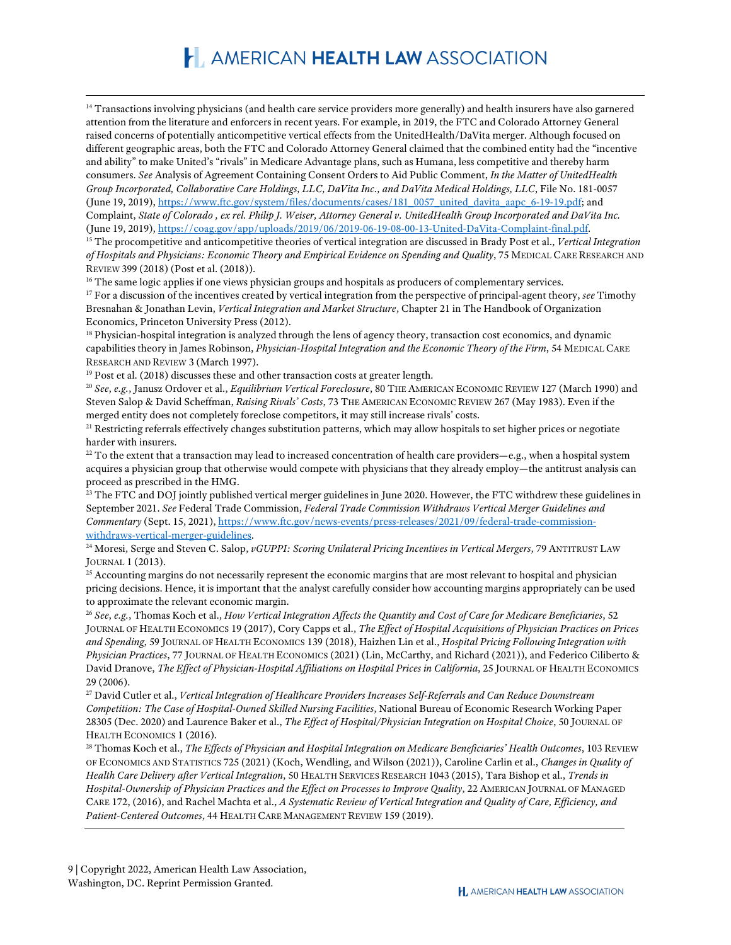<span id="page-8-0"></span><sup>14</sup> Transactions involving physicians (and health care service providers more generally) and health insurers have also garnered attention from the literature and enforcers in recent years. For example, in 2019, the FTC and Colorado Attorney General raised concerns of potentially anticompetitive vertical effects from the UnitedHealth/DaVita merger. Although focused on different geographic areas, both the FTC and Colorado Attorney General claimed that the combined entity had the "incentive and ability" to make United's "rivals" in Medicare Advantage plans, such as Humana, less competitive and thereby harm consumers. *See* Analysis of Agreement Containing Consent Orders to Aid Public Comment, *In the Matter of UnitedHealth Group Incorporated, Collaborative Care Holdings, LLC, DaVita Inc., and DaVita Medical Holdings, LLC*, File No. 181-0057 (June 19, 2019), [https://www.ftc.gov/system/files/documents/cases/181\\_0057\\_united\\_davita\\_aapc\\_6-19-19.pdf;](https://www.ftc.gov/system/files/documents/cases/181_0057_united_davita_aapc_6-19-19.pdf) and Complaint, *State of Colorado , ex rel. Philip J. Weiser, Attorney General v. UnitedHealth Group Incorporated and DaVita Inc.* (June 19, 2019), [https://coag.gov/app/uploads/2019/06/2019-06-19-08-00-13-United-DaVita-Complaint-final.pdf.](https://coag.gov/app/uploads/2019/06/2019-06-19-08-00-13-United-DaVita-Complaint-final.pdf)

<span id="page-8-1"></span><sup>15</sup> The procompetitive and anticompetitive theories of vertical integration are discussed in Brady Post et al., *Vertical Integration of Hospitals and Physicians: Economic Theory and Empirical Evidence on Spending and Quality*, 75 MEDICAL CARE RESEARCH AND REVIEW 399 (2018) (Post et al. (2018)).

<span id="page-8-2"></span><sup>16</sup> The same logic applies if one views physician groups and hospitals as producers of complementary services.

<span id="page-8-3"></span><sup>17</sup> For a discussion of the incentives created by vertical integration from the perspective of principal-agent theory, *see* Timothy Bresnahan & Jonathan Levin, *Vertical Integration and Market Structure*, Chapter 21 in The Handbook of Organization Economics, Princeton University Press (2012).<br><sup>18</sup> Physician-hospital integration is analyzed through the lens of agency theory, transaction cost economics, and dynamic

<span id="page-8-4"></span>capabilities theory in James Robinson, *Physician-Hospital Integration and the Economic Theory of the Firm*, 54 MEDICAL CARE RESEARCH AND REVIEW 3 (March 1997).<br><sup>19</sup> Post et al. (2018) discusses these and other transaction costs at greater length.

<span id="page-8-6"></span><span id="page-8-5"></span><sup>20</sup> *See*, *e.g.*, Janusz Ordover et al., *Equilibrium Vertical Foreclosure*, 80 THE AMERICAN ECONOMIC REVIEW 127 (March 1990) and Steven Salop & David Scheffman, *Raising Rivals' Costs*, 73 THE AMERICAN ECONOMIC REVIEW 267 (May 1983). Even if the merged entity does not completely foreclose competitors, it may still increase rivals' costs.

<span id="page-8-7"></span><sup>21</sup> Restricting referrals effectively changes substitution patterns, which may allow hospitals to set higher prices or negotiate harder with insurers.

<span id="page-8-8"></span> $^{22}$  To the extent that a transaction may lead to increased concentration of health care providers—e.g., when a hospital system acquires a physician group that otherwise would compete with physicians that they already employ—the antitrust analysis can proceed as prescribed in the HMG.

<span id="page-8-9"></span><sup>23</sup> The FTC and DOJ jointly published vertical merger guidelines in June 2020. However, the FTC withdrew these guidelines in September 2021. *See* Federal Trade Commission, *Federal Trade Commission Withdraws Vertical Merger Guidelines and Commentary* (Sept. 15, 2021), [https://www.ftc.gov/news-events/press-releases/2021/09/federal-trade-commission-](https://www.ftc.gov/news-events/press-releases/2021/09/federal-trade-commission-withdraws-vertical-merger-guidelines)

<span id="page-8-10"></span>withdraws-vertical-merger-guidelines.<br><sup>24</sup> Moresi, Serge and Steven C. Salop, *vGUPPI: Scoring Unilateral Pricing Incentives in Vertical Mergers*, 79 ANTITRUST LAW<br>JOURNAL 1 (2013).

<span id="page-8-11"></span><sup>25</sup> Accounting margins do not necessarily represent the economic margins that are most relevant to hospital and physician pricing decisions. Hence, it is important that the analyst carefully consider how accounting margins appropriately can be used to approximate the relevant economic margin.

<span id="page-8-12"></span><sup>26</sup> *See*, *e.g.*, Thomas Koch et al., *How Vertical Integration Affects the Quantity and Cost of Care for Medicare Beneficiaries*, 52 JOURNAL OF HEALTH ECONOMICS 19 (2017), Cory Capps et al., *The Effect of Hospital Acquisitions of Physician Practices on Prices and Spending*, 59 JOURNAL OF HEALTH ECONOMICS 139 (2018), Haizhen Lin et al., *Hospital Pricing Following Integration with Physician Practices*, 77 JOURNAL OF HEALTH ECONOMICS (2021) (Lin, McCarthy, and Richard (2021)), and Federico Ciliberto & David Dranove, *The Effect of Physician-Hospital Affiliations on Hospital Prices in California*, 25 JOURNAL OF HEALTH ECONOMICS 29 (2006).

<span id="page-8-13"></span><sup>27</sup> David Cutler et al., *Vertical Integration of Healthcare Providers Increases Self-Referrals and Can Reduce Downstream Competition: The Case of Hospital-Owned Skilled Nursing Facilities*, National Bureau of Economic Research Working Paper 28305 (Dec. 2020) and Laurence Baker et al., *The Effect of Hospital/Physician Integration on Hospital Choice*, 50 JOURNAL OF HEALTH ECONOMICS 1 (2016).

<span id="page-8-14"></span><sup>28</sup> Thomas Koch et al., *The Effects of Physician and Hospital Integration on Medicare Beneficiaries' Health Outcomes*, 103 REVIEW OF ECONOMICS AND STATISTICS 725 (2021) (Koch, Wendling, and Wilson (2021)), Caroline Carlin et al., *Changes in Quality of Health Care Delivery after Vertical Integration*, 50 HEALTH SERVICES RESEARCH 1043 (2015), Tara Bishop et al., *Trends in Hospital-Ownership of Physician Practices and the Effect on Processes to Improve Quality*, 22 AMERICAN JOURNAL OF MANAGED CARE 172, (2016), and Rachel Machta et al., *A Systematic Review of Vertical Integration and Quality of Care, Efficiency, and Patient-Centered Outcomes*, 44 HEALTH CARE MANAGEMENT REVIEW 159 (2019).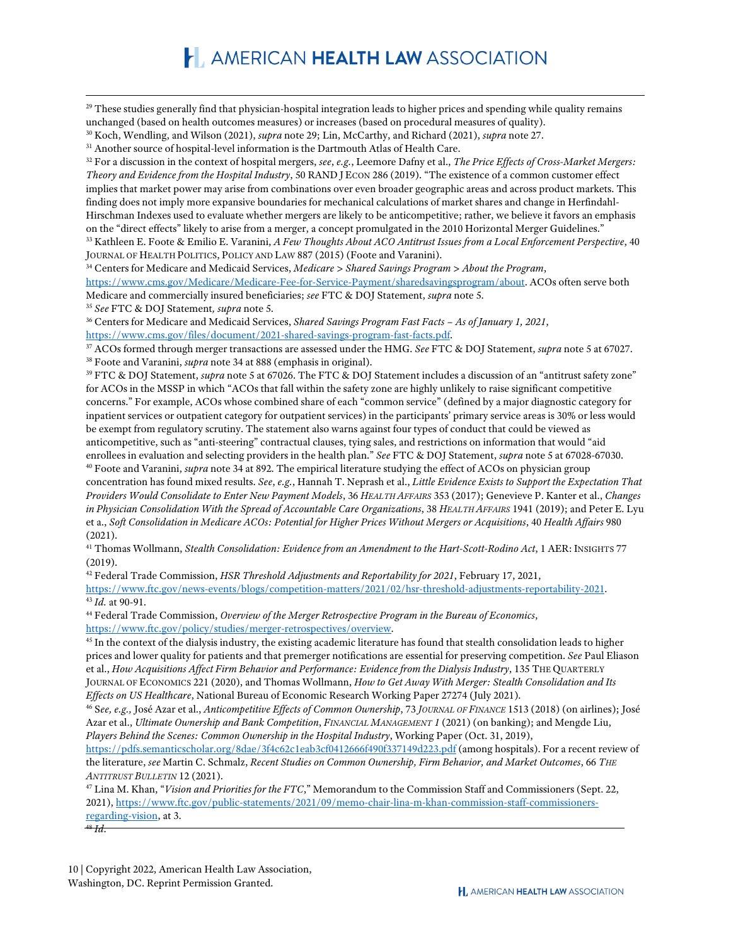<span id="page-9-0"></span><sup>29</sup> These studies generally find that physician-hospital integration leads to higher prices and spending while quality remains unchanged (based on health outcomes measures) or increases (based on procedural measures of quality).

<span id="page-9-1"></span><sup>30</sup> Koch, Wendling, and Wilson (2021), *supra* note 29; Lin, McCarthy, and Richard (2021), *supra* note 27.

<span id="page-9-2"></span><sup>31</sup> Another source of hospital-level information is the Dartmouth Atlas of Health Care.

<span id="page-9-3"></span><sup>32</sup> For a discussion in the context of hospital mergers, *see*, *e.g.*, Leemore Dafny et al., *The Price Effects of Cross-Market Mergers: Theory and Evidence from the Hospital Industry*, 50 RAND J ECON 286 (2019). "The existence of a common customer effect implies that market power may arise from combinations over even broader geographic areas and across product markets. This finding does not imply more expansive boundaries for mechanical calculations of market shares and change in Herfindahl-Hirschman Indexes used to evaluate whether mergers are likely to be anticompetitive; rather, we believe it favors an emphasis on the "direct effects" likely to arise from a merger, a concept promulgated in the 2010 Horizontal Merger Guidelines." <sup>33</sup> Kathleen E. Foote & Emilio E. Varanini, *A Few Thoughts About ACO Antitrust Issues from a Local Enforcement Perspective*, 40

<span id="page-9-4"></span>JOURNAL OF HEALTH POLITICS, POLICY AND LAW 887 (2015) (Foote and Varanini).

<span id="page-9-5"></span><sup>34</sup> Centers for Medicare and Medicaid Services, *Medicare > Shared Savings Program > About the Program*,

[https://www.cms.gov/Medicare/Medicare-Fee-for-Service-Payment/sharedsavingsprogram/about.](https://www.cms.gov/Medicare/Medicare-Fee-for-Service-Payment/sharedsavingsprogram/about) ACOs often serve both Medicare and commercially insured beneficiaries; *see* FTC & DOJ Statement, *supra* note 5.

<span id="page-9-6"></span><sup>35</sup> *See* FTC & DOJ Statement*, supra* note 5.

<span id="page-9-7"></span><sup>36</sup> Centers for Medicare and Medicaid Services, *Shared Savings Program Fast Facts – As of January 1, 2021*, [https://www.cms.gov/files/document/2021-shared-savings-program-fast-facts.pdf.](https://www.cms.gov/files/document/2021-shared-savings-program-fast-facts.pdf)

<span id="page-9-9"></span><span id="page-9-8"></span><sup>37</sup> ACOs formed through merger transactions are assessed under the HMG. *See* FTC & DOJ Statement, *supra* note 5 at 67027. <sup>38</sup> Foote and Varanini, *supra* note 34 at 888 (emphasis in original).

<span id="page-9-10"></span><sup>39</sup> FTC & DOJ Statement, *supra* note 5 at 67026. The FTC & DOJ Statement includes a discussion of an "antitrust safety zone" for ACOs in the MSSP in which "ACOs that fall within the safety zone are highly unlikely to raise significant competitive concerns." For example, ACOs whose combined share of each "common service" (defined by a major diagnostic category for inpatient services or outpatient category for outpatient services) in the participants' primary service areas is 30% or less would be exempt from regulatory scrutiny. The statement also warns against four types of conduct that could be viewed as anticompetitive, such as "anti-steering" contractual clauses, tying sales, and restrictions on information that would "aid enrollees in evaluation and selecting providers in the health plan." *See* FTC & DOJ Statement, *supra* note 5 at 67028-67030. <sup>40</sup> Foote and Varanini, *supra* note 34 at 892. The empirical literature studying the effect of ACOs on physician group

<span id="page-9-11"></span>concentration has found mixed results. *See*, *e.g.*, Hannah T. Neprash et al., *Little Evidence Exists to Support the Expectation That Providers Would Consolidate to Enter New Payment Models*, 36 *HEALTH AFFAIRS* 353 (2017); Genevieve P. Kanter et al., *Changes in Physician Consolidation With the Spread of Accountable Care Organizations*, 38 *HEALTH AFFAIRS* 1941 (2019); and Peter E. Lyu et a., *Soft Consolidation in Medicare ACOs: Potential for Higher Prices Without Mergers or Acquisitions*, 40 *Health Affairs* 980 (2021).

<span id="page-9-12"></span><sup>41</sup> Thomas Wollmann, *Stealth Consolidation: Evidence from an Amendment to the Hart-Scott-Rodino Act*, 1 AER: INSIGHTS 77 (2019).

<span id="page-9-13"></span><sup>42</sup> Federal Trade Commission, *HSR Threshold Adjustments and Reportability for 2021*, February 17, 2021,

<span id="page-9-14"></span>[https://www.ftc.gov/news-events/blogs/competition-matters/2021/02/hsr-threshold-adjustments-reportability-2021.](https://www.ftc.gov/news-events/blogs/competition-matters/2021/02/hsr-threshold-adjustments-reportability-2021) <sup>43</sup> *Id.* at 90-91.

<span id="page-9-15"></span><sup>44</sup> Federal Trade Commission, *Overview of the Merger Retrospective Program in the Bureau of Economics*,

<span id="page-9-16"></span>https://www.ftc.gov/policy/studies/merger-retrospectives/overview.<br><sup>45</sup> In the context of the dialysis industry, the existing academic literature has found that stealth consolidation leads to higher prices and lower quality for patients and that premerger notifications are essential for preserving competition. *See* Paul Eliason et al., *How Acquisitions Affect Firm Behavior and Performance: Evidence from the Dialysis Industry*, 135 THE QUARTERLY JOURNAL OF ECONOMICS 221 (2020), and Thomas Wollmann, *How to Get Away With Merger: Stealth Consolidation and Its Effects on US Healthcare*, National Bureau of Economic Research Working Paper 27274 (July 2021).

<span id="page-9-17"></span><sup>46</sup> S*ee, e.g.,* José Azar et al., *Anticompetitive Effects of Common Ownership*, 73 *JOURNAL OF FINANCE* 1513 (2018) (on airlines); José Azar et al., *Ultimate Ownership and Bank Competition*, *FINANCIAL MANAGEMENT 1* (2021) (on banking); and Mengde Liu, *Players Behind the Scenes: Common Ownership in the Hospital Industry*, Working Paper (Oct. 31, 2019),

<https://pdfs.semanticscholar.org/8dae/3f4c62c1eab3cf0412666f490f337149d223.pdf> (among hospitals). For a recent review of the literature, *see* Martin C. Schmalz, *Recent Studies on Common Ownership, Firm Behavior, and Market Outcomes*, 66 *THE ANTITRUST BULLETIN* 12 (2021).

<span id="page-9-18"></span><sup>47</sup> Lina M. Khan, "*Vision and Priorities for the FTC*," Memorandum to the Commission Staff and Commissioners (Sept. 22, 2021)[, https://www.ftc.gov/public-statements/2021/09/memo-chair-lina-m-khan-commission-staff-commissioners](https://www.ftc.gov/public-statements/2021/09/memo-chair-lina-m-khan-commission-staff-commissioners-regarding-vision)[regarding-vision,](https://www.ftc.gov/public-statements/2021/09/memo-chair-lina-m-khan-commission-staff-commissioners-regarding-vision) at 3.

<sup>48</sup> *Id*.

<span id="page-9-19"></span>10 | Copyright 2022, American Health Law Association, Washington, DC. Reprint Permission Granted.